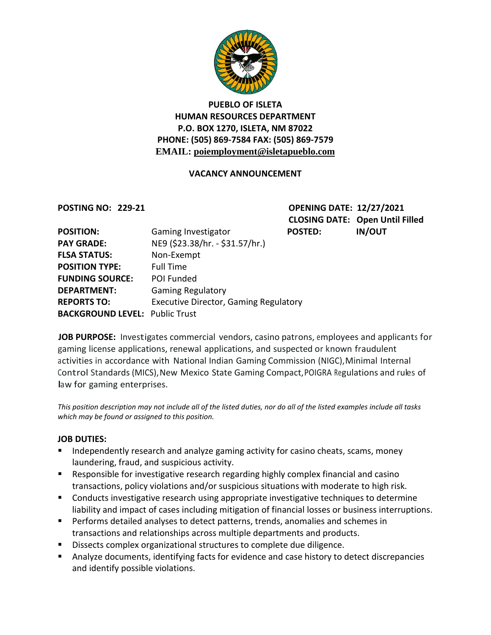

### **PUEBLO OF ISLETA HUMAN RESOURCES DEPARTMENT P.O. BOX 1270, ISLETA, NM 87022 PHONE: (505) 869-7584 FAX: (505) 869-7579 EMAIL: poiemployment@isletapueblo.com**

### **VACANCY ANNOUNCEMENT**

**POSTING NO: 229-21 OPENING DATE: 12/27/2021 CLOSING DATE: Open Until Filled**

| <b>POSITION:</b>                      | Gaming Investigator                          | <b>POSTED:</b> | <b>IN/OUT</b> |
|---------------------------------------|----------------------------------------------|----------------|---------------|
| <b>PAY GRADE:</b>                     | NE9 (\$23.38/hr. - \$31.57/hr.)              |                |               |
| <b>FLSA STATUS:</b>                   | Non-Exempt                                   |                |               |
| <b>POSITION TYPE:</b>                 | <b>Full Time</b>                             |                |               |
| <b>FUNDING SOURCE:</b>                | POI Funded                                   |                |               |
| <b>DEPARTMENT:</b>                    | <b>Gaming Regulatory</b>                     |                |               |
| <b>REPORTS TO:</b>                    | <b>Executive Director, Gaming Regulatory</b> |                |               |
| <b>BACKGROUND LEVEL: Public Trust</b> |                                              |                |               |

**JOB PURPOSE:** Investigates commercial vendors, casino patrons, employees and applicants for gaming license applications, renewal applications, and suspected or known fraudulent activities in accordance with National Indian Gaming Commission (NIGC),Minimal Internal Control Standards (MICS), New Mexico State Gaming Compact, POIGRA Regulations and rules of law for gaming enterprises.

*This position description may not include all of the listed duties, nor do all of the listed examples include all tasks which may be found or assigned to this position.*

#### **JOB DUTIES:**

- **Independently research and analyze gaming activity for casino cheats, scams, money** laundering, fraud, and suspicious activity.
- **EXE** Responsible for investigative research regarding highly complex financial and casino transactions, policy violations and/or suspicious situations with moderate to high risk.
- **Conducts investigative research using appropriate investigative techniques to determine** liability and impact of cases including mitigation of financial losses or business interruptions.
- **Performs detailed analyses to detect patterns, trends, anomalies and schemes in** transactions and relationships across multiple departments and products.
- Dissects complex organizational structures to complete due diligence.
- Analyze documents, identifying facts for evidence and case history to detect discrepancies and identify possible violations.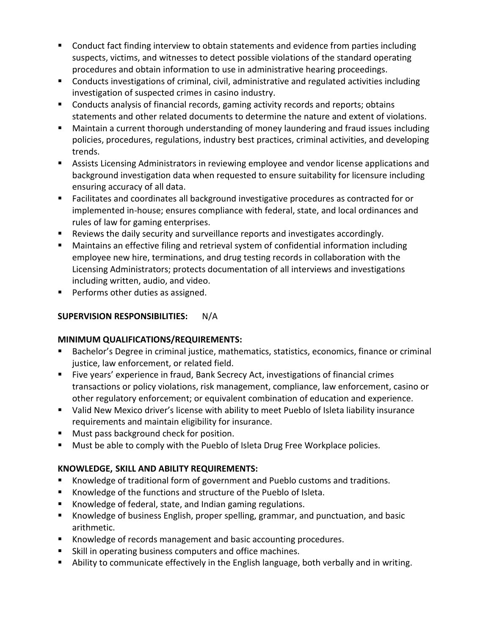- **Conduct fact finding interview to obtain statements and evidence from parties including** suspects, victims, and witnesses to detect possible violations of the standard operating procedures and obtain information to use in administrative hearing proceedings.
- **Conducts investigations of criminal, civil, administrative and regulated activities including** investigation of suspected crimes in casino industry.
- Conducts analysis of financial records, gaming activity records and reports; obtains statements and other related documents to determine the nature and extent of violations.
- Maintain a current thorough understanding of money laundering and fraud issues including policies, procedures, regulations, industry best practices, criminal activities, and developing trends.
- Assists Licensing Administrators in reviewing employee and vendor license applications and background investigation data when requested to ensure suitability for licensure including ensuring accuracy of all data.
- Facilitates and coordinates all background investigative procedures as contracted for or implemented in-house; ensures compliance with federal, state, and local ordinances and rules of law for gaming enterprises.
- Reviews the daily security and surveillance reports and investigates accordingly.
- Maintains an effective filing and retrieval system of confidential information including employee new hire, terminations, and drug testing records in collaboration with the Licensing Administrators; protects documentation of all interviews and investigations including written, audio, and video.
- **Performs other duties as assigned.**

# **SUPERVISION RESPONSIBILITIES:** N/A

## **MINIMUM QUALIFICATIONS/REQUIREMENTS:**

- Bachelor's Degree in criminal justice, mathematics, statistics, economics, finance or criminal justice, law enforcement, or related field.
- Five years' experience in fraud, Bank Secrecy Act, investigations of financial crimes transactions or policy violations, risk management, compliance, law enforcement, casino or other regulatory enforcement; or equivalent combination of education and experience.
- Valid New Mexico driver's license with ability to meet Pueblo of Isleta liability insurance requirements and maintain eligibility for insurance.
- **Must pass background check for position.**
- **Must be able to comply with the Pueblo of Isleta Drug Free Workplace policies.**

## **KNOWLEDGE, SKILL AND ABILITY REQUIREMENTS:**

- Knowledge of traditional form of government and Pueblo customs and traditions.
- Knowledge of the functions and structure of the Pueblo of Isleta.
- Knowledge of federal, state, and Indian gaming regulations.
- Knowledge of business English, proper spelling, grammar, and punctuation, and basic arithmetic.
- Knowledge of records management and basic accounting procedures.
- **Skill in operating business computers and office machines.**
- Ability to communicate effectively in the English language, both verbally and in writing.